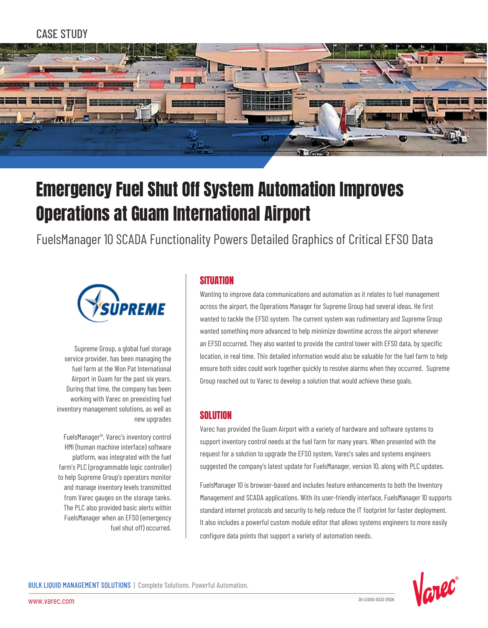# CASE STUDY



# Emergency Fuel Shut Off System Automation Improves Operations at Guam International Airport

FuelsManager 10 SCADA Functionality Powers Detailed Graphics of Critical EFSO Data



Supreme Group, a global fuel storage service provider, has been managing the fuel farm at the Won Pat International Airport in Guam for the past six years. During that time, the company has been working with Varec on preexisting fuel inventory management solutions, as well as new upgrades

FuelsManager®, Varec's inventory control HMI (human machine interface) software platform, was integrated with the fuel farm's PLC (programmable logic controller) to help Supreme Group's operators monitor and manage inventory levels transmitted from Varec gauges on the storage tanks. The PLC also provided basic alerts within FuelsManager when an EFSO (emergency fuel shut off) occurred.

## **SITUATION**

Wanting to improve data communications and automation as it relates to fuel management across the airport, the Operations Manager for Supreme Group had several ideas. He first wanted to tackle the EFSO system. The current system was rudimentary and Supreme Group wanted something more advanced to help minimize downtime across the airport whenever an EFSO occurred. They also wanted to provide the control tower with EFSO data, by specific location, in real time. This detailed information would also be valuable for the fuel farm to help ensure both sides could work together quickly to resolve alarms when they occurred. Supreme Group reached out to Varec to develop a solution that would achieve these goals.

#### **SOLUTION**

Varec has provided the Guam Airport with a variety of hardware and software systems to support inventory control needs at the fuel farm for many years. When presented with the request for a solution to upgrade the EFSO system, Varec's sales and systems engineers suggested the company's latest update for FuelsManager, version 10, along with PLC updates.

FuelsManager 10 is browser-based and includes feature enhancements to both the Inventory Management and SCADA applications. With its user-friendly interface, FuelsManager 10 supports standard internet protocols and security to help reduce the IT footprint for faster deployment. It also includes a powerful custom module editor that allows systems engineers to more easily configure data points that support a variety of automation needs.